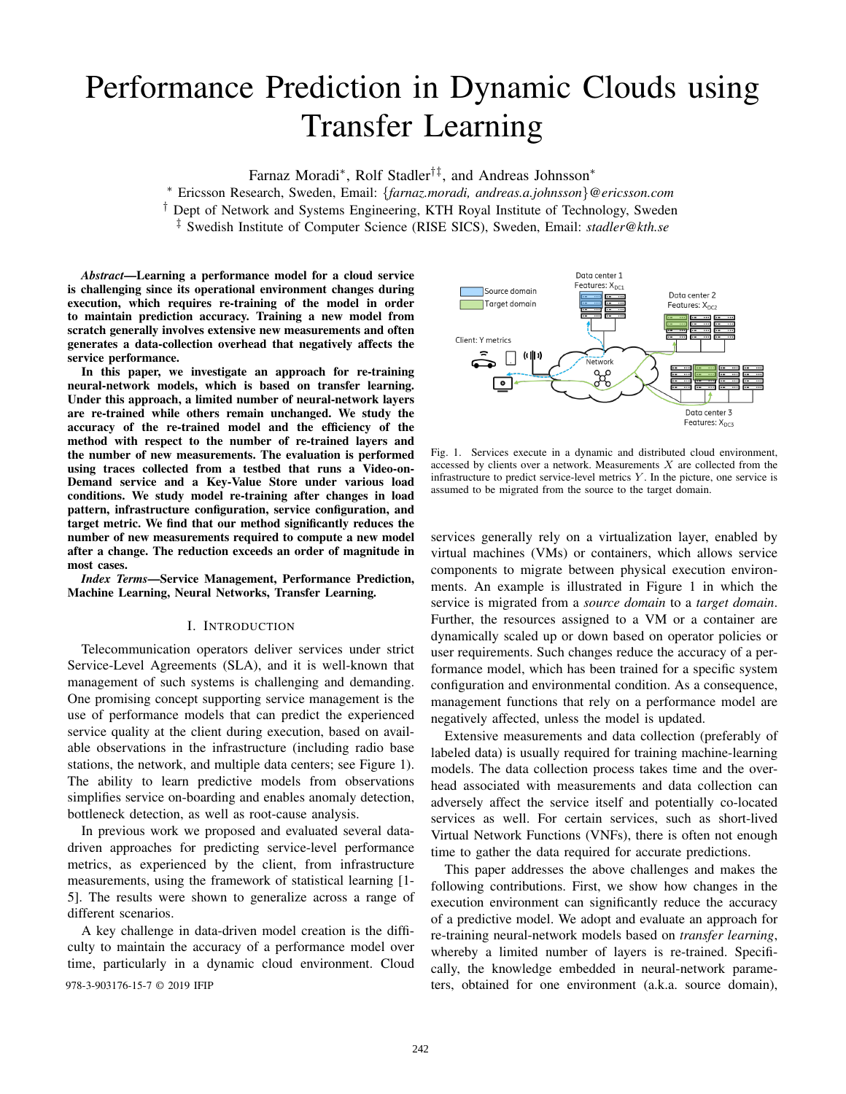# Performance Prediction in Dynamic Clouds using Transfer Learning

Farnaz Moradi<sup>∗</sup> , Rolf Stadler†‡, and Andreas Johnsson<sup>∗</sup>

<sup>∗</sup> Ericsson Research, Sweden, Email: {*farnaz.moradi, andreas.a.johnsson*}*@ericsson.com*

† Dept of Network and Systems Engineering, KTH Royal Institute of Technology, Sweden

‡ Swedish Institute of Computer Science (RISE SICS), Sweden, Email: *stadler@kth.se*

*Abstract*—Learning a performance model for a cloud service is challenging since its operational environment changes during execution, which requires re-training of the model in order to maintain prediction accuracy. Training a new model from scratch generally involves extensive new measurements and often generates a data-collection overhead that negatively affects the service performance.

In this paper, we investigate an approach for re-training neural-network models, which is based on transfer learning. Under this approach, a limited number of neural-network layers are re-trained while others remain unchanged. We study the accuracy of the re-trained model and the efficiency of the method with respect to the number of re-trained layers and the number of new measurements. The evaluation is performed using traces collected from a testbed that runs a Video-on-Demand service and a Key-Value Store under various load conditions. We study model re-training after changes in load pattern, infrastructure configuration, service configuration, and target metric. We find that our method significantly reduces the number of new measurements required to compute a new model after a change. The reduction exceeds an order of magnitude in most cases.

*Index Terms*—Service Management, Performance Prediction, Machine Learning, Neural Networks, Transfer Learning.

#### I. INTRODUCTION

Telecommunication operators deliver services under strict Service-Level Agreements (SLA), and it is well-known that management of such systems is challenging and demanding. One promising concept supporting service management is the use of performance models that can predict the experienced service quality at the client during execution, based on available observations in the infrastructure (including radio base stations, the network, and multiple data centers; see Figure 1). The ability to learn predictive models from observations simplifies service on-boarding and enables anomaly detection, bottleneck detection, as well as root-cause analysis.

In previous work we proposed and evaluated several datadriven approaches for predicting service-level performance metrics, as experienced by the client, from infrastructure measurements, using the framework of statistical learning [1- 5]. The results were shown to generalize across a range of different scenarios.

A key challenge in data-driven model creation is the difficulty to maintain the accuracy of a performance model over time, particularly in a dynamic cloud environment. Cloud



Fig. 1. Services execute in a dynamic and distributed cloud environment, accessed by clients over a network. Measurements  $X$  are collected from the infrastructure to predict service-level metrics  $Y$ . In the picture, one service is assumed to be migrated from the source to the target domain.

services generally rely on a virtualization layer, enabled by virtual machines (VMs) or containers, which allows service components to migrate between physical execution environments. An example is illustrated in Figure 1 in which the service is migrated from a *source domain* to a *target domain*. Further, the resources assigned to a VM or a container are dynamically scaled up or down based on operator policies or user requirements. Such changes reduce the accuracy of a performance model, which has been trained for a specific system configuration and environmental condition. As a consequence, management functions that rely on a performance model are negatively affected, unless the model is updated.

Extensive measurements and data collection (preferably of labeled data) is usually required for training machine-learning models. The data collection process takes time and the overhead associated with measurements and data collection can adversely affect the service itself and potentially co-located services as well. For certain services, such as short-lived Virtual Network Functions (VNFs), there is often not enough time to gather the data required for accurate predictions.

This paper addresses the above challenges and makes the following contributions. First, we show how changes in the execution environment can significantly reduce the accuracy of a predictive model. We adopt and evaluate an approach for re-training neural-network models based on *transfer learning*, whereby a limited number of layers is re-trained. Specifically, the knowledge embedded in neural-network parame-978-3-903176-15-7 © 2019 IFIP ters, obtained for one environment (a.k.a. source domain),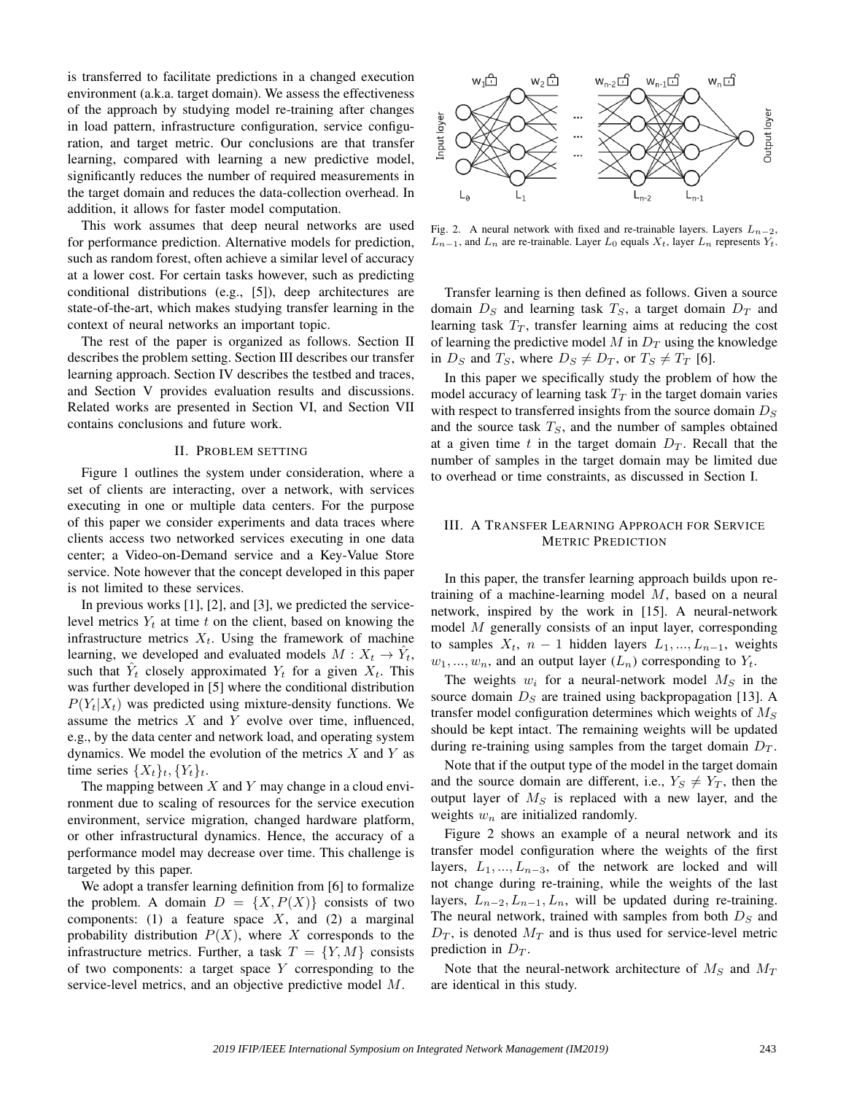is transferred to facilitate predictions in a changed execution environment (a.k.a. target domain). We assess the effectiveness of the approach by studying model re-training after changes in load pattern, infrastructure configuration, service configuration, and target metric. Our conclusions are that transfer learning, compared with learning a new predictive model, significantly reduces the number of required measurements in the target domain and reduces the data-collection overhead. In addition, it allows for faster model computation.

This work assumes that deep neural networks are used for performance prediction. Alternative models for prediction, such as random forest, often achieve a similar level of accuracy at a lower cost. For certain tasks however, such as predicting conditional distributions (e.g., [5]), deep architectures are state-of-the-art, which makes studying transfer learning in the context of neural networks an important topic.

The rest of the paper is organized as follows. Section II describes the problem setting. Section III describes our transfer learning approach. Section IV describes the testbed and traces, and Section V provides evaluation results and discussions. Related works are presented in Section VI, and Section VII contains conclusions and future work.

#### II. PROBLEM SETTING

Figure 1 outlines the system under consideration, where a set of clients are interacting, over a network, with services executing in one or multiple data centers. For the purpose of this paper we consider experiments and data traces where clients access two networked services executing in one data center; a Video-on-Demand service and a Key-Value Store service. Note however that the concept developed in this paper is not limited to these services.

In previous works [1], [2], and [3], we predicted the servicelevel metrics  $Y_t$  at time t on the client, based on knowing the infrastructure metrics  $X_t$ . Using the framework of machine learning, we developed and evaluated models  $M: X_t \to \hat{Y}_t$ , such that  $\hat{Y}_t$  closely approximated  $Y_t$  for a given  $X_t$ . This was further developed in [5] where the conditional distribution  $P(Y_t|X_t)$  was predicted using mixture-density functions. We assume the metrics  $X$  and  $Y$  evolve over time, influenced, e.g., by the data center and network load, and operating system dynamics. We model the evolution of the metrics  $X$  and  $Y$  as time series  $\{X_t\}_t, \{Y_t\}_t$ .

The mapping between  $X$  and  $Y$  may change in a cloud environment due to scaling of resources for the service execution environment, service migration, changed hardware platform, or other infrastructural dynamics. Hence, the accuracy of a performance model may decrease over time. This challenge is targeted by this paper.

We adopt a transfer learning definition from [6] to formalize the problem. A domain  $D = \{X, P(X)\}\)$  consists of two components: (1) a feature space  $X$ , and (2) a marginal probability distribution  $P(X)$ , where X corresponds to the infrastructure metrics. Further, a task  $T = \{Y, M\}$  consists of two components: a target space  $Y$  corresponding to the service-level metrics, and an objective predictive model M.



Fig. 2. A neural network with fixed and re-trainable layers. Layers  $L_{n-2}$ ,  $L_{n-1}$ , and  $L_n$  are re-trainable. Layer  $L_0$  equals  $X_t$ , layer  $L_n$  represents  $Y_t$ .

Transfer learning is then defined as follows. Given a source domain  $D<sub>S</sub>$  and learning task  $T<sub>S</sub>$ , a target domain  $D<sub>T</sub>$  and learning task  $T_T$ , transfer learning aims at reducing the cost of learning the predictive model  $M$  in  $D_T$  using the knowledge in  $D_S$  and  $T_S$ , where  $D_S \neq D_T$ , or  $T_S \neq T_T$  [6].

In this paper we specifically study the problem of how the model accuracy of learning task  $T_T$  in the target domain varies with respect to transferred insights from the source domain  $D<sub>S</sub>$ and the source task  $T<sub>S</sub>$ , and the number of samples obtained at a given time t in the target domain  $D_T$ . Recall that the number of samples in the target domain may be limited due to overhead or time constraints, as discussed in Section I.

# III. A TRANSFER LEARNING APPROACH FOR SERVICE METRIC PREDICTION

In this paper, the transfer learning approach builds upon retraining of a machine-learning model M, based on a neural network, inspired by the work in [15]. A neural-network model M generally consists of an input layer, corresponding to samples  $X_t$ ,  $n-1$  hidden layers  $L_1, ..., L_{n-1}$ , weights  $w_1, ..., w_n$ , and an output layer  $(L_n)$  corresponding to  $Y_t$ .

The weights  $w_i$  for a neural-network model  $M_S$  in the source domain  $D<sub>S</sub>$  are trained using backpropagation [13]. A transfer model configuration determines which weights of  $M<sub>S</sub>$ should be kept intact. The remaining weights will be updated during re-training using samples from the target domain  $D_T$ .

Note that if the output type of the model in the target domain and the source domain are different, i.e.,  $Y_s \neq Y_T$ , then the output layer of  $M_S$  is replaced with a new layer, and the weights  $w_n$  are initialized randomly.

Figure 2 shows an example of a neural network and its transfer model configuration where the weights of the first layers,  $L_1, ..., L_{n-3}$ , of the network are locked and will not change during re-training, while the weights of the last layers,  $L_{n-2}, L_{n-1}, L_n$ , will be updated during re-training. The neural network, trained with samples from both  $D<sub>S</sub>$  and  $D_T$ , is denoted  $M_T$  and is thus used for service-level metric prediction in  $D_T$ .

Note that the neural-network architecture of  $M<sub>S</sub>$  and  $M<sub>T</sub>$ are identical in this study.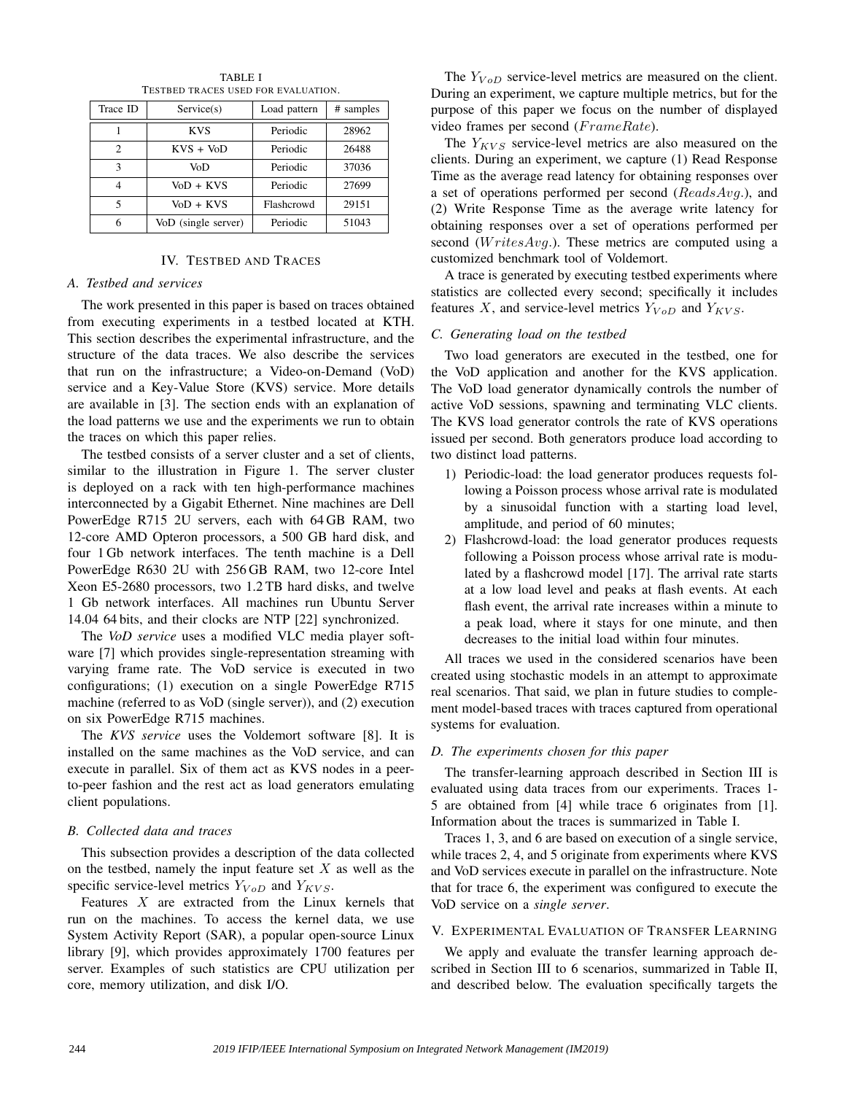| Trace ID       | Service(s)          | Load pattern | # samples |
|----------------|---------------------|--------------|-----------|
|                | <b>KVS</b>          | Periodic     | 28962     |
| $\mathfrak{D}$ | $KVS + VoD$         | Periodic     | 26488     |
| 3              | VoD                 | Periodic     | 37036     |
|                | VoD + KVS           | Periodic     | 27699     |
| 5              | VoD + KVS           | Flashcrowd   | 29151     |
| 6              | VoD (single server) | Periodic     | 51043     |

TABLE I TESTBED TRACES USED FOR EVALUATION.

# IV. TESTBED AND TRACES

## *A. Testbed and services*

The work presented in this paper is based on traces obtained from executing experiments in a testbed located at KTH. This section describes the experimental infrastructure, and the structure of the data traces. We also describe the services that run on the infrastructure; a Video-on-Demand (VoD) service and a Key-Value Store (KVS) service. More details are available in [3]. The section ends with an explanation of the load patterns we use and the experiments we run to obtain the traces on which this paper relies.

The testbed consists of a server cluster and a set of clients, similar to the illustration in Figure 1. The server cluster is deployed on a rack with ten high-performance machines interconnected by a Gigabit Ethernet. Nine machines are Dell PowerEdge R715 2U servers, each with 64 GB RAM, two 12-core AMD Opteron processors, a 500 GB hard disk, and four 1 Gb network interfaces. The tenth machine is a Dell PowerEdge R630 2U with 256 GB RAM, two 12-core Intel Xeon E5-2680 processors, two 1.2 TB hard disks, and twelve 1 Gb network interfaces. All machines run Ubuntu Server 14.04 64 bits, and their clocks are NTP [22] synchronized.

The *VoD service* uses a modified VLC media player software [7] which provides single-representation streaming with varying frame rate. The VoD service is executed in two configurations; (1) execution on a single PowerEdge R715 machine (referred to as VoD (single server)), and (2) execution on six PowerEdge R715 machines.

The *KVS service* uses the Voldemort software [8]. It is installed on the same machines as the VoD service, and can execute in parallel. Six of them act as KVS nodes in a peerto-peer fashion and the rest act as load generators emulating client populations.

# *B. Collected data and traces*

This subsection provides a description of the data collected on the testbed, namely the input feature set  $X$  as well as the specific service-level metrics  $Y_{V \circ D}$  and  $Y_{KVS}$ .

Features X are extracted from the Linux kernels that run on the machines. To access the kernel data, we use System Activity Report (SAR), a popular open-source Linux library [9], which provides approximately 1700 features per server. Examples of such statistics are CPU utilization per core, memory utilization, and disk I/O.

The  $Y_{V \circ D}$  service-level metrics are measured on the client. During an experiment, we capture multiple metrics, but for the purpose of this paper we focus on the number of displayed video frames per second (FrameRate).

The  $Y_{KVS}$  service-level metrics are also measured on the clients. During an experiment, we capture (1) Read Response Time as the average read latency for obtaining responses over a set of operations performed per second ( $ReadsAvg$ .), and (2) Write Response Time as the average write latency for obtaining responses over a set of operations performed per second ( $WritesAvg$ .). These metrics are computed using a customized benchmark tool of Voldemort.

A trace is generated by executing testbed experiments where statistics are collected every second; specifically it includes features X, and service-level metrics  $Y_{V \circ D}$  and  $Y_{KVS}$ .

# *C. Generating load on the testbed*

Two load generators are executed in the testbed, one for the VoD application and another for the KVS application. The VoD load generator dynamically controls the number of active VoD sessions, spawning and terminating VLC clients. The KVS load generator controls the rate of KVS operations issued per second. Both generators produce load according to two distinct load patterns.

- 1) Periodic-load: the load generator produces requests following a Poisson process whose arrival rate is modulated by a sinusoidal function with a starting load level, amplitude, and period of 60 minutes;
- 2) Flashcrowd-load: the load generator produces requests following a Poisson process whose arrival rate is modulated by a flashcrowd model [17]. The arrival rate starts at a low load level and peaks at flash events. At each flash event, the arrival rate increases within a minute to a peak load, where it stays for one minute, and then decreases to the initial load within four minutes.

All traces we used in the considered scenarios have been created using stochastic models in an attempt to approximate real scenarios. That said, we plan in future studies to complement model-based traces with traces captured from operational systems for evaluation.

# *D. The experiments chosen for this paper*

The transfer-learning approach described in Section III is evaluated using data traces from our experiments. Traces 1- 5 are obtained from [4] while trace 6 originates from [1]. Information about the traces is summarized in Table I.

Traces 1, 3, and 6 are based on execution of a single service, while traces 2, 4, and 5 originate from experiments where KVS and VoD services execute in parallel on the infrastructure. Note that for trace 6, the experiment was configured to execute the VoD service on a *single server*.

# V. EXPERIMENTAL EVALUATION OF TRANSFER LEARNING

We apply and evaluate the transfer learning approach described in Section III to 6 scenarios, summarized in Table II, and described below. The evaluation specifically targets the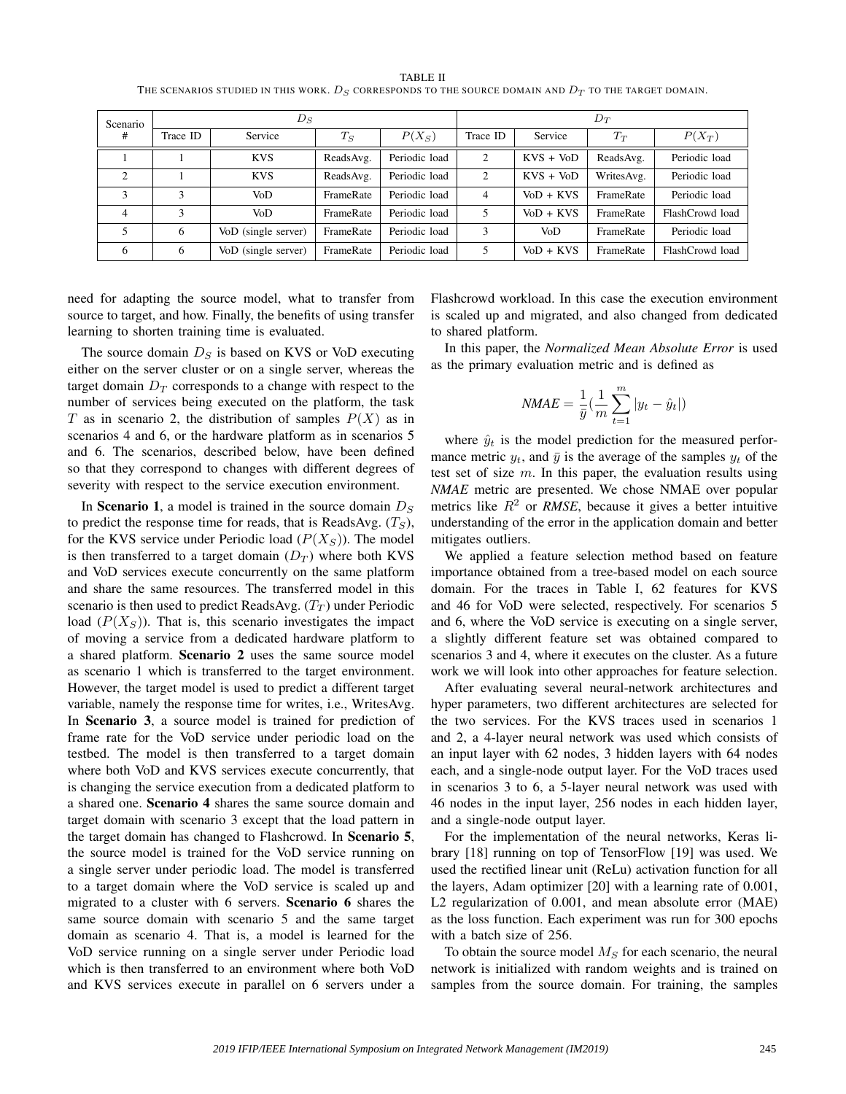TABLE II THE SCENARIOS STUDIED IN THIS WORK.  $D_S$  CORRESPONDS TO THE SOURCE DOMAIN AND  $D_T$  TO THE TARGET DOMAIN.

| Scenario       | $D_S$    |                     |           | $D_T$         |                |              |            |                 |
|----------------|----------|---------------------|-----------|---------------|----------------|--------------|------------|-----------------|
| #              | Trace ID | Service             | $T_S$     | $P(X_S)$      | Trace ID       | Service      | $T_T$      | $P(X_T)$        |
|                |          | <b>KVS</b>          | ReadsAvg. | Periodic load | 2              | $KVS + VoD$  | ReadsAvg.  | Periodic load   |
| $\overline{2}$ |          | <b>KVS</b>          | ReadsAvg. | Periodic load | 2              | $KVS + VoD$  | WritesAvg. | Periodic load   |
| 3              | 3        | VoD                 | FrameRate | Periodic load | $\overline{4}$ | $V_0D + KVS$ | FrameRate  | Periodic load   |
| $\overline{4}$ | 3        | VoD                 | FrameRate | Periodic load | 5              | $V_0D + KVS$ | FrameRate  | FlashCrowd load |
| 5              | 6        | VoD (single server) | FrameRate | Periodic load | 3              | VoD          | FrameRate  | Periodic load   |
| 6              | 6        | VoD (single server) | FrameRate | Periodic load | 5              | $V_0D + KVS$ | FrameRate  | FlashCrowd load |

need for adapting the source model, what to transfer from source to target, and how. Finally, the benefits of using transfer learning to shorten training time is evaluated.

The source domain  $D<sub>S</sub>$  is based on KVS or VoD executing either on the server cluster or on a single server, whereas the target domain  $D_T$  corresponds to a change with respect to the number of services being executed on the platform, the task T as in scenario 2, the distribution of samples  $P(X)$  as in scenarios 4 and 6, or the hardware platform as in scenarios 5 and 6. The scenarios, described below, have been defined so that they correspond to changes with different degrees of severity with respect to the service execution environment.

In Scenario 1, a model is trained in the source domain  $D<sub>S</sub>$ to predict the response time for reads, that is ReadsAvg.  $(T<sub>S</sub>)$ , for the KVS service under Periodic load  $(P(X_S))$ . The model is then transferred to a target domain  $(D_T)$  where both KVS and VoD services execute concurrently on the same platform and share the same resources. The transferred model in this scenario is then used to predict ReadsAvg.  $(T_T)$  under Periodic load  $(P(X<sub>S</sub>))$ . That is, this scenario investigates the impact of moving a service from a dedicated hardware platform to a shared platform. Scenario 2 uses the same source model as scenario 1 which is transferred to the target environment. However, the target model is used to predict a different target variable, namely the response time for writes, i.e., WritesAvg. In Scenario 3, a source model is trained for prediction of frame rate for the VoD service under periodic load on the testbed. The model is then transferred to a target domain where both VoD and KVS services execute concurrently, that is changing the service execution from a dedicated platform to a shared one. Scenario 4 shares the same source domain and target domain with scenario 3 except that the load pattern in the target domain has changed to Flashcrowd. In Scenario 5, the source model is trained for the VoD service running on a single server under periodic load. The model is transferred to a target domain where the VoD service is scaled up and migrated to a cluster with 6 servers. Scenario 6 shares the same source domain with scenario 5 and the same target domain as scenario 4. That is, a model is learned for the VoD service running on a single server under Periodic load which is then transferred to an environment where both VoD and KVS services execute in parallel on 6 servers under a

Flashcrowd workload. In this case the execution environment is scaled up and migrated, and also changed from dedicated to shared platform.

In this paper, the *Normalized Mean Absolute Error* is used as the primary evaluation metric and is defined as

$$
\textit{NMAE} = \frac{1}{\bar{y}}(\frac{1}{m}\sum_{t=1}^{m}|y_t - \hat{y}_t|)
$$

where  $\hat{y}_t$  is the model prediction for the measured performance metric  $y_t$ , and  $\bar{y}$  is the average of the samples  $y_t$  of the test set of size  $m$ . In this paper, the evaluation results using *NMAE* metric are presented. We chose NMAE over popular metrics like  $R^2$  or *RMSE*, because it gives a better intuitive understanding of the error in the application domain and better mitigates outliers.

We applied a feature selection method based on feature importance obtained from a tree-based model on each source domain. For the traces in Table I, 62 features for KVS and 46 for VoD were selected, respectively. For scenarios 5 and 6, where the VoD service is executing on a single server, a slightly different feature set was obtained compared to scenarios 3 and 4, where it executes on the cluster. As a future work we will look into other approaches for feature selection.

After evaluating several neural-network architectures and hyper parameters, two different architectures are selected for the two services. For the KVS traces used in scenarios 1 and 2, a 4-layer neural network was used which consists of an input layer with 62 nodes, 3 hidden layers with 64 nodes each, and a single-node output layer. For the VoD traces used in scenarios 3 to 6, a 5-layer neural network was used with 46 nodes in the input layer, 256 nodes in each hidden layer, and a single-node output layer.

For the implementation of the neural networks, Keras library [18] running on top of TensorFlow [19] was used. We used the rectified linear unit (ReLu) activation function for all the layers, Adam optimizer [20] with a learning rate of 0.001, L2 regularization of 0.001, and mean absolute error (MAE) as the loss function. Each experiment was run for 300 epochs with a batch size of 256.

To obtain the source model  $M<sub>S</sub>$  for each scenario, the neural network is initialized with random weights and is trained on samples from the source domain. For training, the samples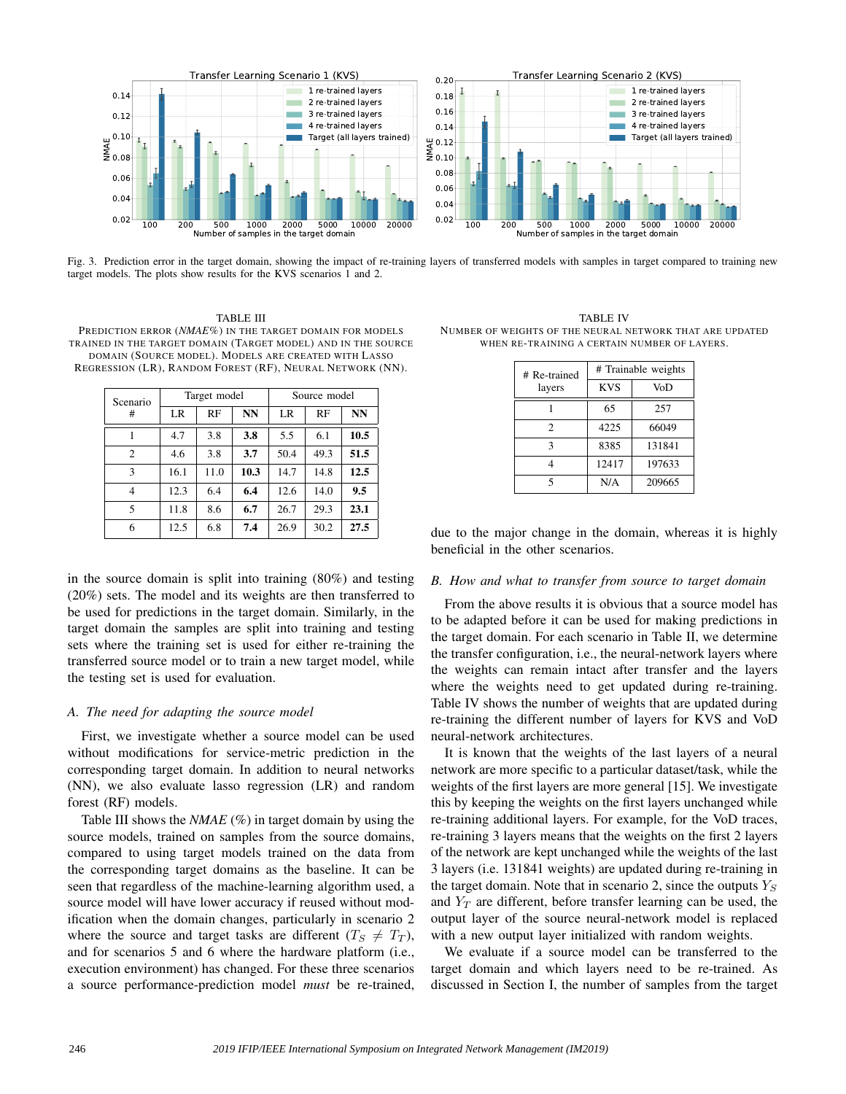

Fig. 3. Prediction error in the target domain, showing the impact of re-training layers of transferred models with samples in target compared to training new target models. The plots show results for the KVS scenarios 1 and 2.

# TABLE III

PREDICTION ERROR (*NMAE*%) IN THE TARGET DOMAIN FOR MODELS TRAINED IN THE TARGET DOMAIN (TARGET MODEL) AND IN THE SOURCE DOMAIN (SOURCE MODEL). MODELS ARE CREATED WITH LASSO REGRESSION (LR), RANDOM FOREST (RF), NEURAL NETWORK (NN).

| Scenario<br>#  | Target model |      |      | Source model |      |      |
|----------------|--------------|------|------|--------------|------|------|
|                | LR           | RF   | NN   | LR           | RF   | NN   |
|                | 4.7          | 3.8  | 3.8  | 5.5          | 6.1  | 10.5 |
| $\overline{c}$ | 4.6          | 3.8  | 3.7  | 50.4         | 49.3 | 51.5 |
| 3              | 16.1         | 11.0 | 10.3 | 14.7         | 14.8 | 12.5 |
| 4              | 12.3         | 6.4  | 6.4  | 12.6         | 14.0 | 9.5  |
| 5              | 11.8         | 8.6  | 6.7  | 26.7         | 29.3 | 23.1 |
| 6              | 12.5         | 6.8  | 7.4  | 26.9         | 30.2 | 27.5 |

in the source domain is split into training (80%) and testing (20%) sets. The model and its weights are then transferred to be used for predictions in the target domain. Similarly, in the target domain the samples are split into training and testing sets where the training set is used for either re-training the transferred source model or to train a new target model, while the testing set is used for evaluation.

## *A. The need for adapting the source model*

First, we investigate whether a source model can be used without modifications for service-metric prediction in the corresponding target domain. In addition to neural networks (NN), we also evaluate lasso regression (LR) and random forest (RF) models.

Table III shows the *NMAE* (%) in target domain by using the source models, trained on samples from the source domains, compared to using target models trained on the data from the corresponding target domains as the baseline. It can be seen that regardless of the machine-learning algorithm used, a source model will have lower accuracy if reused without modification when the domain changes, particularly in scenario 2 where the source and target tasks are different  $(T<sub>S</sub> \neq T<sub>T</sub>)$ , and for scenarios 5 and 6 where the hardware platform (i.e., execution environment) has changed. For these three scenarios a source performance-prediction model *must* be re-trained,

TABLE IV NUMBER OF WEIGHTS OF THE NEURAL NETWORK THAT ARE UPDATED WHEN RE-TRAINING A CERTAIN NUMBER OF LAYERS.

| # Re-trained   | # Trainable weights |        |  |
|----------------|---------------------|--------|--|
| layers         | <b>KVS</b>          | VoD    |  |
|                | 65                  | 257    |  |
| $\mathfrak{D}$ | 4225                | 66049  |  |
| ٩              | 8385                | 131841 |  |
|                | 12417               | 197633 |  |
| 5              | N/A                 | 209665 |  |

due to the major change in the domain, whereas it is highly beneficial in the other scenarios.

## *B. How and what to transfer from source to target domain*

From the above results it is obvious that a source model has to be adapted before it can be used for making predictions in the target domain. For each scenario in Table II, we determine the transfer configuration, i.e., the neural-network layers where the weights can remain intact after transfer and the layers where the weights need to get updated during re-training. Table IV shows the number of weights that are updated during re-training the different number of layers for KVS and VoD neural-network architectures.

It is known that the weights of the last layers of a neural network are more specific to a particular dataset/task, while the weights of the first layers are more general [15]. We investigate this by keeping the weights on the first layers unchanged while re-training additional layers. For example, for the VoD traces, re-training 3 layers means that the weights on the first 2 layers of the network are kept unchanged while the weights of the last 3 layers (i.e. 131841 weights) are updated during re-training in the target domain. Note that in scenario 2, since the outputs  $Y_s$ and  $Y_T$  are different, before transfer learning can be used, the output layer of the source neural-network model is replaced with a new output layer initialized with random weights.

We evaluate if a source model can be transferred to the target domain and which layers need to be re-trained. As discussed in Section I, the number of samples from the target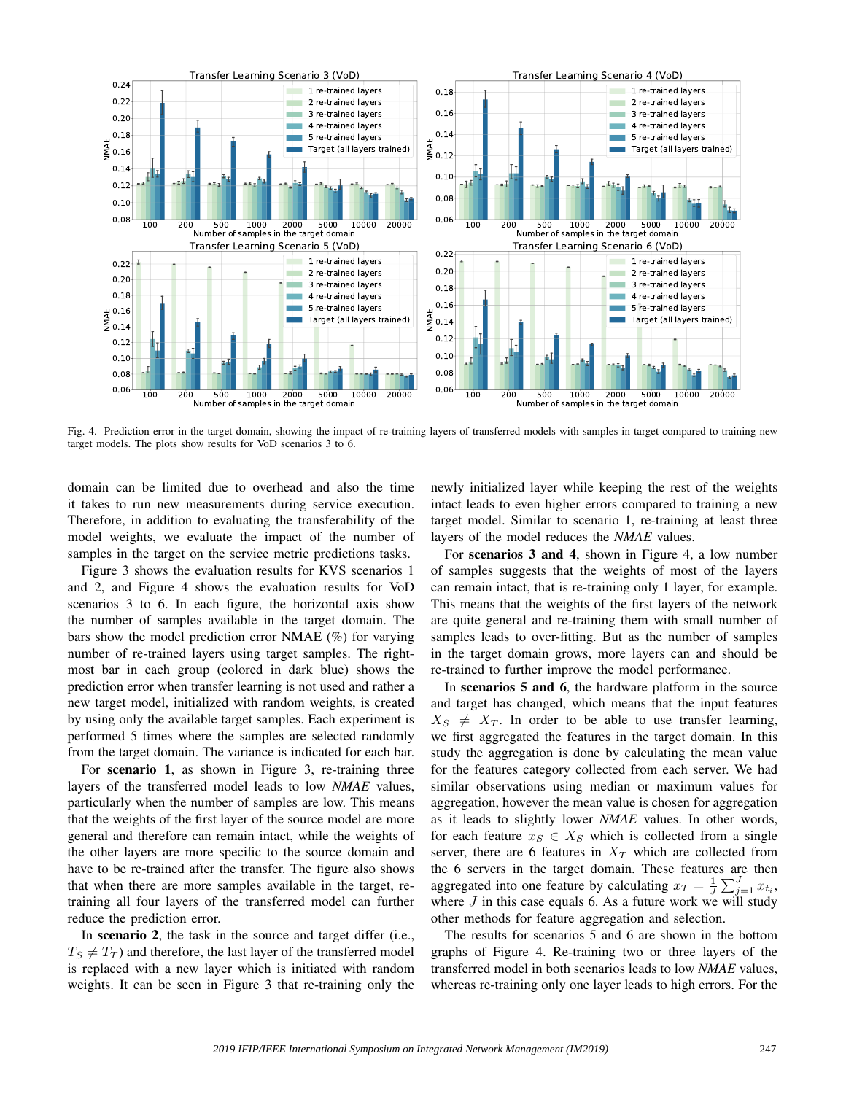

Fig. 4. Prediction error in the target domain, showing the impact of re-training layers of transferred models with samples in target compared to training new target models. The plots show results for VoD scenarios 3 to 6.

domain can be limited due to overhead and also the time it takes to run new measurements during service execution. Therefore, in addition to evaluating the transferability of the model weights, we evaluate the impact of the number of samples in the target on the service metric predictions tasks.

Figure 3 shows the evaluation results for KVS scenarios 1 and 2, and Figure 4 shows the evaluation results for VoD scenarios 3 to 6. In each figure, the horizontal axis show the number of samples available in the target domain. The bars show the model prediction error NMAE (%) for varying number of re-trained layers using target samples. The rightmost bar in each group (colored in dark blue) shows the prediction error when transfer learning is not used and rather a new target model, initialized with random weights, is created by using only the available target samples. Each experiment is performed 5 times where the samples are selected randomly from the target domain. The variance is indicated for each bar.

For scenario 1, as shown in Figure 3, re-training three layers of the transferred model leads to low *NMAE* values, particularly when the number of samples are low. This means that the weights of the first layer of the source model are more general and therefore can remain intact, while the weights of the other layers are more specific to the source domain and have to be re-trained after the transfer. The figure also shows that when there are more samples available in the target, retraining all four layers of the transferred model can further reduce the prediction error.

In scenario 2, the task in the source and target differ (i.e.,  $T<sub>S</sub> \neq T<sub>T</sub>$ ) and therefore, the last layer of the transferred model is replaced with a new layer which is initiated with random weights. It can be seen in Figure 3 that re-training only the newly initialized layer while keeping the rest of the weights intact leads to even higher errors compared to training a new target model. Similar to scenario 1, re-training at least three layers of the model reduces the *NMAE* values.

For scenarios 3 and 4, shown in Figure 4, a low number of samples suggests that the weights of most of the layers can remain intact, that is re-training only 1 layer, for example. This means that the weights of the first layers of the network are quite general and re-training them with small number of samples leads to over-fitting. But as the number of samples in the target domain grows, more layers can and should be re-trained to further improve the model performance.

In scenarios 5 and 6, the hardware platform in the source and target has changed, which means that the input features  $X_S \neq X_T$ . In order to be able to use transfer learning, we first aggregated the features in the target domain. In this study the aggregation is done by calculating the mean value for the features category collected from each server. We had similar observations using median or maximum values for aggregation, however the mean value is chosen for aggregation as it leads to slightly lower *NMAE* values. In other words, for each feature  $x_S \in X_S$  which is collected from a single server, there are 6 features in  $X_T$  which are collected from the 6 servers in the target domain. These features are then aggregated into one feature by calculating  $x_T = \frac{1}{J} \sum_{j=1}^{J} x_{t_i}$ , where  $J$  in this case equals 6. As a future work we will study other methods for feature aggregation and selection.

The results for scenarios 5 and 6 are shown in the bottom graphs of Figure 4. Re-training two or three layers of the transferred model in both scenarios leads to low *NMAE* values, whereas re-training only one layer leads to high errors. For the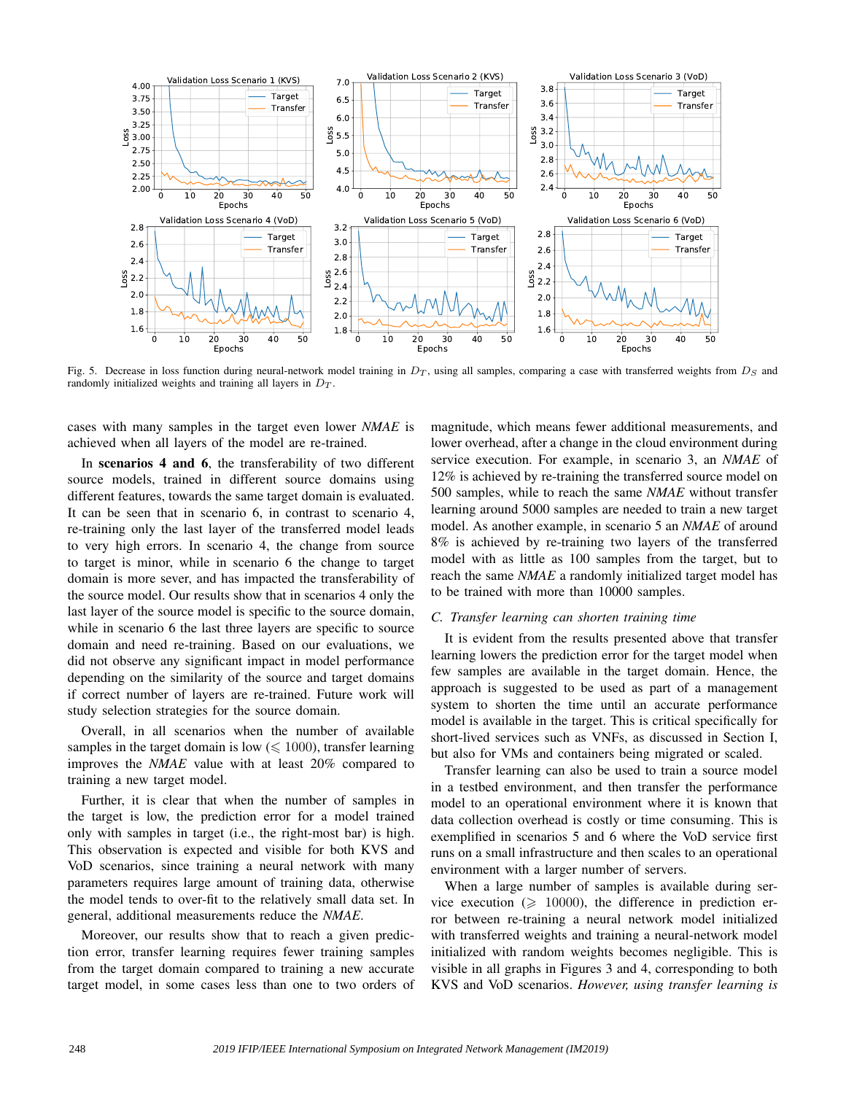

Fig. 5. Decrease in loss function during neural-network model training in  $D_T$ , using all samples, comparing a case with transferred weights from  $D_S$  and randomly initialized weights and training all layers in  $D_T$ .

cases with many samples in the target even lower *NMAE* is achieved when all layers of the model are re-trained.

In scenarios 4 and 6, the transferability of two different source models, trained in different source domains using different features, towards the same target domain is evaluated. It can be seen that in scenario 6, in contrast to scenario 4, re-training only the last layer of the transferred model leads to very high errors. In scenario 4, the change from source to target is minor, while in scenario 6 the change to target domain is more sever, and has impacted the transferability of the source model. Our results show that in scenarios 4 only the last layer of the source model is specific to the source domain, while in scenario 6 the last three layers are specific to source domain and need re-training. Based on our evaluations, we did not observe any significant impact in model performance depending on the similarity of the source and target domains if correct number of layers are re-trained. Future work will study selection strategies for the source domain.

Overall, in all scenarios when the number of available samples in the target domain is low  $(\leq 1000)$ , transfer learning improves the *NMAE* value with at least 20% compared to training a new target model.

Further, it is clear that when the number of samples in the target is low, the prediction error for a model trained only with samples in target (i.e., the right-most bar) is high. This observation is expected and visible for both KVS and VoD scenarios, since training a neural network with many parameters requires large amount of training data, otherwise the model tends to over-fit to the relatively small data set. In general, additional measurements reduce the *NMAE*.

Moreover, our results show that to reach a given prediction error, transfer learning requires fewer training samples from the target domain compared to training a new accurate target model, in some cases less than one to two orders of magnitude, which means fewer additional measurements, and lower overhead, after a change in the cloud environment during service execution. For example, in scenario 3, an *NMAE* of 12% is achieved by re-training the transferred source model on 500 samples, while to reach the same *NMAE* without transfer learning around 5000 samples are needed to train a new target model. As another example, in scenario 5 an *NMAE* of around 8% is achieved by re-training two layers of the transferred model with as little as 100 samples from the target, but to reach the same *NMAE* a randomly initialized target model has to be trained with more than 10000 samples.

## *C. Transfer learning can shorten training time*

It is evident from the results presented above that transfer learning lowers the prediction error for the target model when few samples are available in the target domain. Hence, the approach is suggested to be used as part of a management system to shorten the time until an accurate performance model is available in the target. This is critical specifically for short-lived services such as VNFs, as discussed in Section I, but also for VMs and containers being migrated or scaled.

Transfer learning can also be used to train a source model in a testbed environment, and then transfer the performance model to an operational environment where it is known that data collection overhead is costly or time consuming. This is exemplified in scenarios 5 and 6 where the VoD service first runs on a small infrastructure and then scales to an operational environment with a larger number of servers.

When a large number of samples is available during service execution ( $\geq 10000$ ), the difference in prediction error between re-training a neural network model initialized with transferred weights and training a neural-network model initialized with random weights becomes negligible. This is visible in all graphs in Figures 3 and 4, corresponding to both KVS and VoD scenarios. *However, using transfer learning is*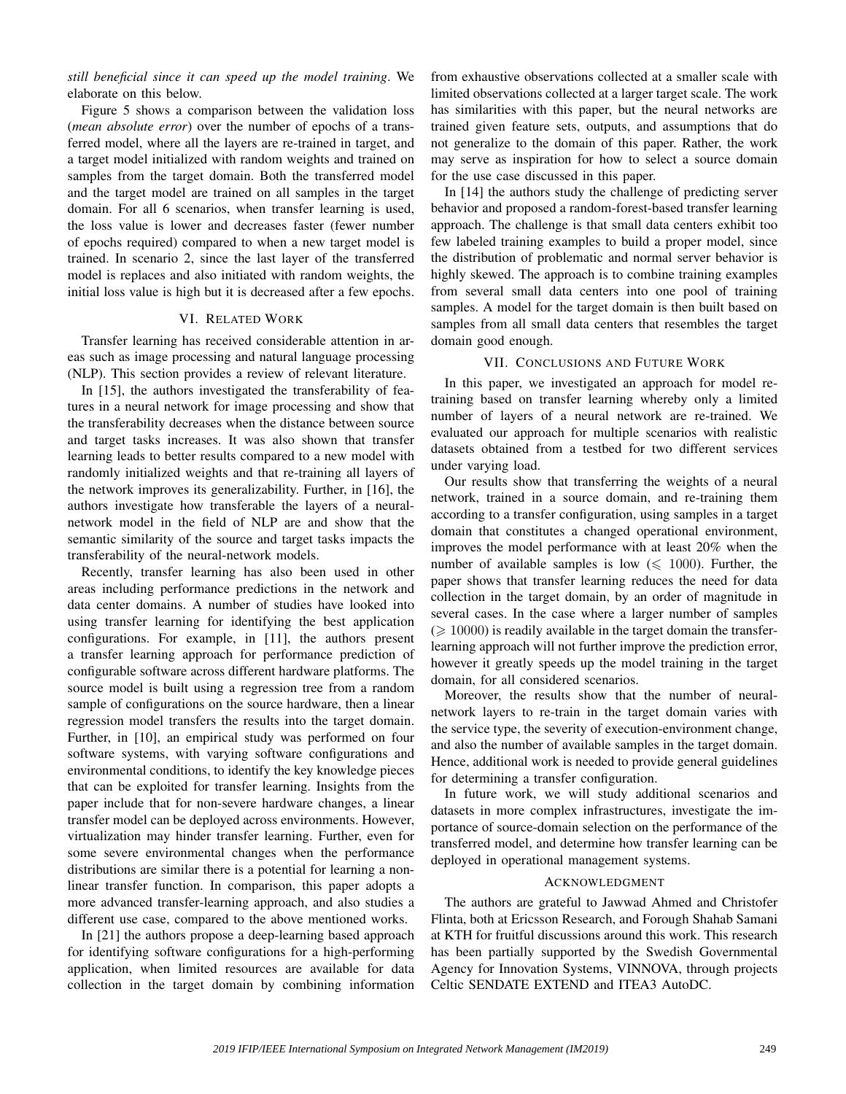*still beneficial since it can speed up the model training*. We elaborate on this below.

Figure 5 shows a comparison between the validation loss (*mean absolute error*) over the number of epochs of a transferred model, where all the layers are re-trained in target, and a target model initialized with random weights and trained on samples from the target domain. Both the transferred model and the target model are trained on all samples in the target domain. For all 6 scenarios, when transfer learning is used, the loss value is lower and decreases faster (fewer number of epochs required) compared to when a new target model is trained. In scenario 2, since the last layer of the transferred model is replaces and also initiated with random weights, the initial loss value is high but it is decreased after a few epochs.

# VI. RELATED WORK

Transfer learning has received considerable attention in areas such as image processing and natural language processing (NLP). This section provides a review of relevant literature.

In [15], the authors investigated the transferability of features in a neural network for image processing and show that the transferability decreases when the distance between source and target tasks increases. It was also shown that transfer learning leads to better results compared to a new model with randomly initialized weights and that re-training all layers of the network improves its generalizability. Further, in [16], the authors investigate how transferable the layers of a neuralnetwork model in the field of NLP are and show that the semantic similarity of the source and target tasks impacts the transferability of the neural-network models.

Recently, transfer learning has also been used in other areas including performance predictions in the network and data center domains. A number of studies have looked into using transfer learning for identifying the best application configurations. For example, in [11], the authors present a transfer learning approach for performance prediction of configurable software across different hardware platforms. The source model is built using a regression tree from a random sample of configurations on the source hardware, then a linear regression model transfers the results into the target domain. Further, in [10], an empirical study was performed on four software systems, with varying software configurations and environmental conditions, to identify the key knowledge pieces that can be exploited for transfer learning. Insights from the paper include that for non-severe hardware changes, a linear transfer model can be deployed across environments. However, virtualization may hinder transfer learning. Further, even for some severe environmental changes when the performance distributions are similar there is a potential for learning a nonlinear transfer function. In comparison, this paper adopts a more advanced transfer-learning approach, and also studies a different use case, compared to the above mentioned works.

In [21] the authors propose a deep-learning based approach for identifying software configurations for a high-performing application, when limited resources are available for data collection in the target domain by combining information from exhaustive observations collected at a smaller scale with limited observations collected at a larger target scale. The work has similarities with this paper, but the neural networks are trained given feature sets, outputs, and assumptions that do not generalize to the domain of this paper. Rather, the work may serve as inspiration for how to select a source domain for the use case discussed in this paper.

In [14] the authors study the challenge of predicting server behavior and proposed a random-forest-based transfer learning approach. The challenge is that small data centers exhibit too few labeled training examples to build a proper model, since the distribution of problematic and normal server behavior is highly skewed. The approach is to combine training examples from several small data centers into one pool of training samples. A model for the target domain is then built based on samples from all small data centers that resembles the target domain good enough.

## VII. CONCLUSIONS AND FUTURE WORK

In this paper, we investigated an approach for model retraining based on transfer learning whereby only a limited number of layers of a neural network are re-trained. We evaluated our approach for multiple scenarios with realistic datasets obtained from a testbed for two different services under varying load.

Our results show that transferring the weights of a neural network, trained in a source domain, and re-training them according to a transfer configuration, using samples in a target domain that constitutes a changed operational environment, improves the model performance with at least 20% when the number of available samples is low  $(\leq 1000)$ . Further, the paper shows that transfer learning reduces the need for data collection in the target domain, by an order of magnitude in several cases. In the case where a larger number of samples  $(\geq 10000)$  is readily available in the target domain the transferlearning approach will not further improve the prediction error, however it greatly speeds up the model training in the target domain, for all considered scenarios.

Moreover, the results show that the number of neuralnetwork layers to re-train in the target domain varies with the service type, the severity of execution-environment change, and also the number of available samples in the target domain. Hence, additional work is needed to provide general guidelines for determining a transfer configuration.

In future work, we will study additional scenarios and datasets in more complex infrastructures, investigate the importance of source-domain selection on the performance of the transferred model, and determine how transfer learning can be deployed in operational management systems.

#### ACKNOWLEDGMENT

The authors are grateful to Jawwad Ahmed and Christofer Flinta, both at Ericsson Research, and Forough Shahab Samani at KTH for fruitful discussions around this work. This research has been partially supported by the Swedish Governmental Agency for Innovation Systems, VINNOVA, through projects Celtic SENDATE EXTEND and ITEA3 AutoDC.